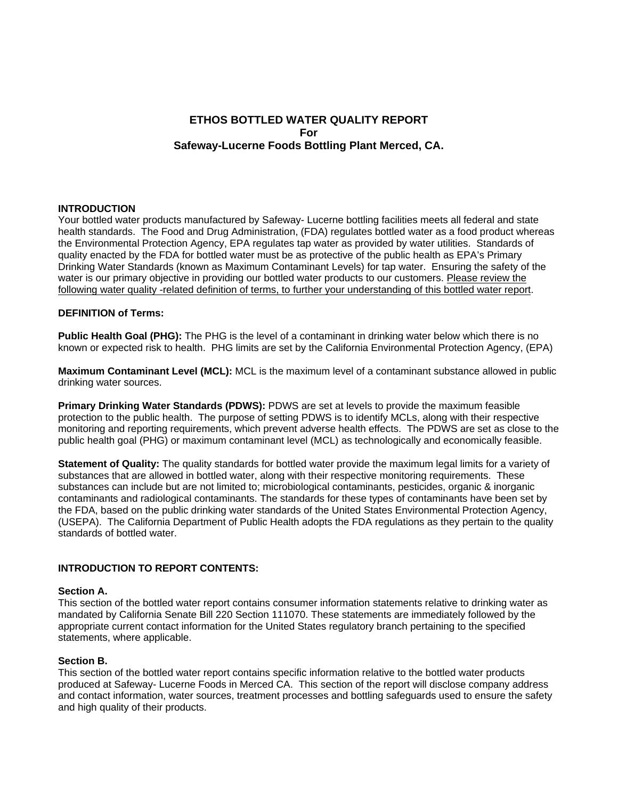# **ETHOS BOTTLED WATER QUALITY REPORT For Safeway-Lucerne Foods Bottling Plant Merced, CA.**

### **INTRODUCTION**

Your bottled water products manufactured by Safeway- Lucerne bottling facilities meets all federal and state health standards. The Food and Drug Administration, (FDA) regulates bottled water as a food product whereas the Environmental Protection Agency, EPA regulates tap water as provided by water utilities. Standards of quality enacted by the FDA for bottled water must be as protective of the public health as EPA's Primary Drinking Water Standards (known as Maximum Contaminant Levels) for tap water. Ensuring the safety of the water is our primary objective in providing our bottled water products to our customers. Please review the following water quality -related definition of terms, to further your understanding of this bottled water report.

### **DEFINITION of Terms:**

**Public Health Goal (PHG):** The PHG is the level of a contaminant in drinking water below which there is no known or expected risk to health. PHG limits are set by the California Environmental Protection Agency, (EPA)

**Maximum Contaminant Level (MCL):** MCL is the maximum level of a contaminant substance allowed in public drinking water sources.

**Primary Drinking Water Standards (PDWS):** PDWS are set at levels to provide the maximum feasible protection to the public health. The purpose of setting PDWS is to identify MCLs, along with their respective monitoring and reporting requirements, which prevent adverse health effects. The PDWS are set as close to the public health goal (PHG) or maximum contaminant level (MCL) as technologically and economically feasible.

**Statement of Quality:** The quality standards for bottled water provide the maximum legal limits for a variety of substances that are allowed in bottled water, along with their respective monitoring requirements. These substances can include but are not limited to; microbiological contaminants, pesticides, organic & inorganic contaminants and radiological contaminants. The standards for these types of contaminants have been set by the FDA, based on the public drinking water standards of the United States Environmental Protection Agency, (USEPA). The California Department of Public Health adopts the FDA regulations as they pertain to the quality standards of bottled water.

## **INTRODUCTION TO REPORT CONTENTS:**

### **Section A.**

This section of the bottled water report contains consumer information statements relative to drinking water as mandated by California Senate Bill 220 Section 111070. These statements are immediately followed by the appropriate current contact information for the United States regulatory branch pertaining to the specified statements, where applicable.

### **Section B.**

This section of the bottled water report contains specific information relative to the bottled water products produced at Safeway- Lucerne Foods in Merced CA. This section of the report will disclose company address and contact information, water sources, treatment processes and bottling safeguards used to ensure the safety and high quality of their products.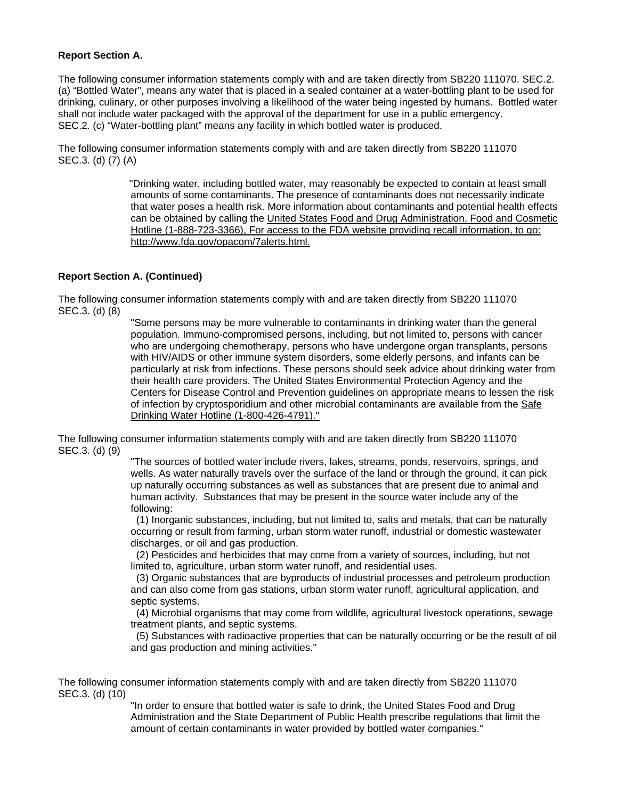## **Report Section A.**

The following consumer information statements comply with and are taken directly from SB220 111070. SEC.2. (a) "Bottled Water", means any water that is placed in a sealed container at a water-bottling plant to be used for drinking, culinary, or other purposes involving a likelihood of the water being ingested by humans. Bottled water shall not include water packaged with the approval of the department for use in a public emergency. SEC.2. (c) "Water-bottling plant" means any facility in which bottled water is produced.

The following consumer information statements comply with and are taken directly from SB220 111070 SEC.3. (d) (7) (A)

> "Drinking water, including bottled water, may reasonably be expected to contain at least small amounts of some contaminants. The presence of contaminants does not necessarily indicate that water poses a health risk. More information about contaminants and potential health effects can be obtained by calling the United States Food and Drug Administration, Food and Cosmetic Hotline (1-888-723-3366), For access to the FDA website providing recall information, to go: http://www.fda.gov/opacom/7alerts.html.

## **Report Section A. (Continued)**

The following consumer information statements comply with and are taken directly from SB220 111070 SEC.3. (d) (8)

> "Some persons may be more vulnerable to contaminants in drinking water than the general population. Immuno-compromised persons, including, but not limited to, persons with cancer who are undergoing chemotherapy, persons who have undergone organ transplants, persons with HIV/AIDS or other immune system disorders, some elderly persons, and infants can be particularly at risk from infections. These persons should seek advice about drinking water from their health care providers. The United States Environmental Protection Agency and the Centers for Disease Control and Prevention guidelines on appropriate means to lessen the risk of infection by cryptosporidium and other microbial contaminants are available from the Safe Drinking Water Hotline (1-800-426-4791)."

The following consumer information statements comply with and are taken directly from SB220 111070 SEC.3. (d) (9)

> "The sources of bottled water include rivers, lakes, streams, ponds, reservoirs, springs, and wells. As water naturally travels over the surface of the land or through the ground, it can pick up naturally occurring substances as well as substances that are present due to animal and human activity. Substances that may be present in the source water include any of the following:

> (1) Inorganic substances, including, but not limited to, salts and metals, that can be naturally occurring or result from farming, urban storm water runoff, industrial or domestic wastewater discharges, or oil and gas production.

 (2) Pesticides and herbicides that may come from a variety of sources, including, but not limited to, agriculture, urban storm water runoff, and residential uses.

 (3) Organic substances that are byproducts of industrial processes and petroleum production and can also come from gas stations, urban storm water runoff, agricultural application, and septic systems.

 (4) Microbial organisms that may come from wildlife, agricultural livestock operations, sewage treatment plants, and septic systems.

 (5) Substances with radioactive properties that can be naturally occurring or be the result of oil and gas production and mining activities."

The following consumer information statements comply with and are taken directly from SB220 111070 SEC.3. (d) (10)

"In order to ensure that bottled water is safe to drink, the United States Food and Drug Administration and the State Department of Public Health prescribe regulations that limit the amount of certain contaminants in water provided by bottled water companies."